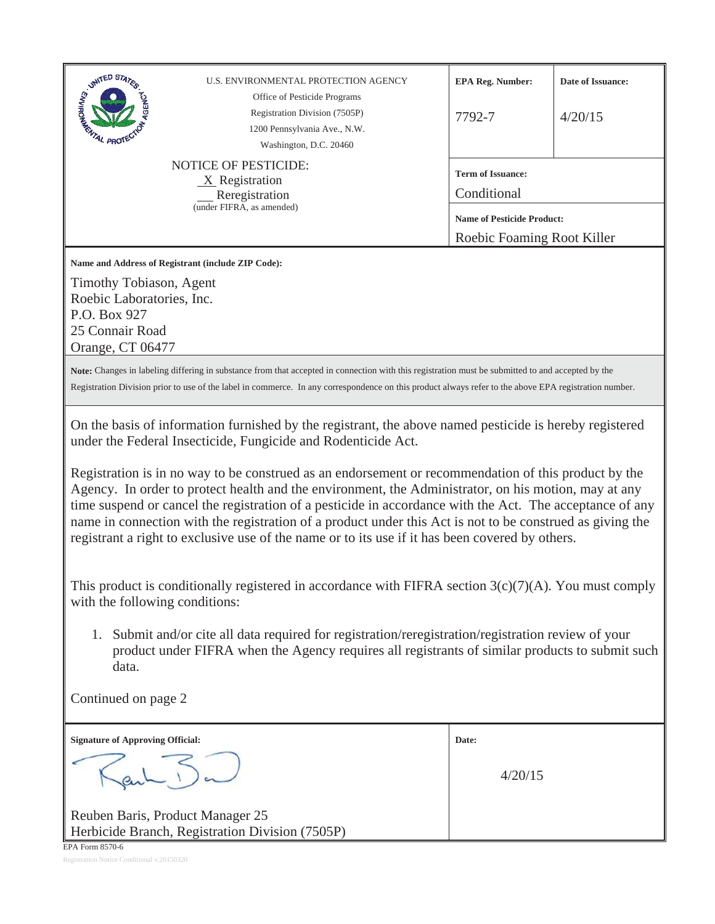| <b>SIGNATED STATES</b><br>PRO                                                                                                                                                                                                                                                                                                                                                                                                                                                                                                                                                                                                                                                                                                                                                                                                                                                                                                                                                                                                                                                                                   | U.S. ENVIRONMENTAL PROTECTION AGENCY<br>Office of Pesticide Programs<br>Registration Division (7505P)<br>1200 Pennsylvania Ave., N.W.<br>Washington, D.C. 20460<br><b>NOTICE OF PESTICIDE:</b><br>$X$ Registration<br>Reregistration<br>(under FIFRA, as amended) | <b>EPA Reg. Number:</b><br>7792-7<br><b>Term of Issuance:</b><br>Conditional<br><b>Name of Pesticide Product:</b><br>Roebic Foaming Root Killer | Date of Issuance:<br>4/20/15 |
|-----------------------------------------------------------------------------------------------------------------------------------------------------------------------------------------------------------------------------------------------------------------------------------------------------------------------------------------------------------------------------------------------------------------------------------------------------------------------------------------------------------------------------------------------------------------------------------------------------------------------------------------------------------------------------------------------------------------------------------------------------------------------------------------------------------------------------------------------------------------------------------------------------------------------------------------------------------------------------------------------------------------------------------------------------------------------------------------------------------------|-------------------------------------------------------------------------------------------------------------------------------------------------------------------------------------------------------------------------------------------------------------------|-------------------------------------------------------------------------------------------------------------------------------------------------|------------------------------|
| Name and Address of Registrant (include ZIP Code):<br>Timothy Tobiason, Agent<br>Roebic Laboratories, Inc.<br>P.O. Box 927<br>25 Connair Road<br>Orange, CT 06477                                                                                                                                                                                                                                                                                                                                                                                                                                                                                                                                                                                                                                                                                                                                                                                                                                                                                                                                               |                                                                                                                                                                                                                                                                   |                                                                                                                                                 |                              |
| Note: Changes in labeling differing in substance from that accepted in connection with this registration must be submitted to and accepted by the<br>Registration Division prior to use of the label in commerce. In any correspondence on this product always refer to the above EPA registration number.                                                                                                                                                                                                                                                                                                                                                                                                                                                                                                                                                                                                                                                                                                                                                                                                      |                                                                                                                                                                                                                                                                   |                                                                                                                                                 |                              |
| On the basis of information furnished by the registrant, the above named pesticide is hereby registered<br>under the Federal Insecticide, Fungicide and Rodenticide Act.<br>Registration is in no way to be construed as an endorsement or recommendation of this product by the<br>Agency. In order to protect health and the environment, the Administrator, on his motion, may at any<br>time suspend or cancel the registration of a pesticide in accordance with the Act. The acceptance of any<br>name in connection with the registration of a product under this Act is not to be construed as giving the<br>registrant a right to exclusive use of the name or to its use if it has been covered by others.<br>This product is conditionally registered in accordance with FIFRA section $3(c)(7)(A)$ . You must comply<br>with the following conditions:<br>Submit and/or cite all data required for registration/reregistration/registration review of your<br>1.<br>product under FIFRA when the Agency requires all registrants of similar products to submit such<br>data.<br>Continued on page 2 |                                                                                                                                                                                                                                                                   |                                                                                                                                                 |                              |
| <b>Signature of Approving Official:</b>                                                                                                                                                                                                                                                                                                                                                                                                                                                                                                                                                                                                                                                                                                                                                                                                                                                                                                                                                                                                                                                                         |                                                                                                                                                                                                                                                                   | Date:                                                                                                                                           |                              |
|                                                                                                                                                                                                                                                                                                                                                                                                                                                                                                                                                                                                                                                                                                                                                                                                                                                                                                                                                                                                                                                                                                                 |                                                                                                                                                                                                                                                                   | 4/20/15                                                                                                                                         |                              |
| Reuben Baris, Product Manager 25<br>EPA Form 8570-6                                                                                                                                                                                                                                                                                                                                                                                                                                                                                                                                                                                                                                                                                                                                                                                                                                                                                                                                                                                                                                                             | Herbicide Branch, Registration Division (7505P)                                                                                                                                                                                                                   |                                                                                                                                                 |                              |

Registration Notice Conditional v.20150320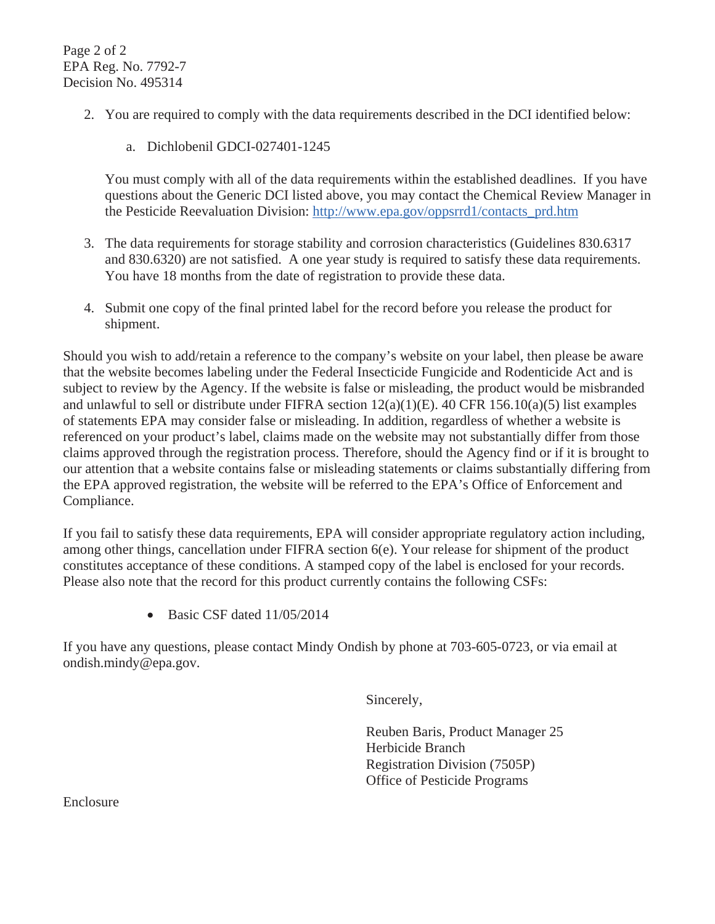Page 2 of 2 EPA Reg. No. 7792-7 Decision No. 495314

- 2. You are required to comply with the data requirements described in the DCI identified below:
	- a. Dichlobenil GDCI-027401-1245

You must comply with all of the data requirements within the established deadlines. If you have questions about the Generic DCI listed above, you may contact the Chemical Review Manager in the Pesticide Reevaluation Division: http://www.epa.gov/oppsrrd1/contacts\_prd.htm

- 3. The data requirements for storage stability and corrosion characteristics (Guidelines 830.6317 and 830.6320) are not satisfied. A one year study is required to satisfy these data requirements. You have 18 months from the date of registration to provide these data.
- 4. Submit one copy of the final printed label for the record before you release the product for shipment.

Should you wish to add/retain a reference to the company's website on your label, then please be aware that the website becomes labeling under the Federal Insecticide Fungicide and Rodenticide Act and is subject to review by the Agency. If the website is false or misleading, the product would be misbranded and unlawful to sell or distribute under FIFRA section 12(a)(1)(E). 40 CFR 156.10(a)(5) list examples of statements EPA may consider false or misleading. In addition, regardless of whether a website is referenced on your product's label, claims made on the website may not substantially differ from those claims approved through the registration process. Therefore, should the Agency find or if it is brought to our attention that a website contains false or misleading statements or claims substantially differing from the EPA approved registration, the website will be referred to the EPA's Office of Enforcement and Compliance.

If you fail to satisfy these data requirements, EPA will consider appropriate regulatory action including, among other things, cancellation under FIFRA section 6(e). Your release for shipment of the product constitutes acceptance of these conditions. A stamped copy of the label is enclosed for your records. Please also note that the record for this product currently contains the following CSFs:

 $\bullet$  Basic CSF dated 11/05/2014

If you have any questions, please contact Mindy Ondish by phone at 703-605-0723, or via email at ondish.mindy@epa.gov.

Sincerely,

Reuben Baris, Product Manager 25 Herbicide Branch Registration Division (7505P) Office of Pesticide Programs

Enclosure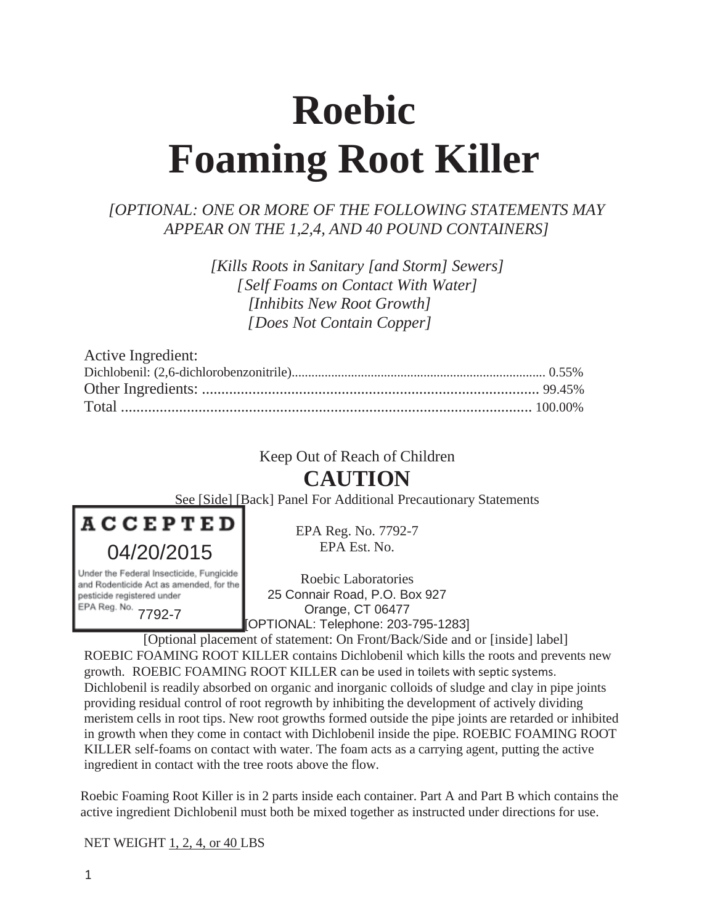# **Roebic Foaming Root Killer**

# *[OPTIONAL: ONE OR MORE OF THE FOLLOWING STATEMENTS MAY APPEAR ON THE 1,2,4, AND 40 POUND CONTAINERS]*

*[Kills Roots in Sanitary [and Storm] Sewers] [Self Foams on Contact With Water] [Inhibits New Root Growth] [Does Not Contain Copper]*

| Active Ingredient: |  |
|--------------------|--|
|                    |  |
|                    |  |
|                    |  |

# Keep Out of Reach of Children

# **CAUTION**

See [Side] [Back] Panel For Additional Precautionary Statements



Under the Federal Insecticide, Fungicide and Rodenticide Act as amended, for the pesticide registered under EPA Reg. No. 7792-7

EPA Reg. No. 7792-7 EPA Est. No.

Roebic Laboratories 25 Connair Road, P.O. Box 927 Orange, CT 06477 [OPTIONAL: Telephone: 203-795-1283]

[Optional placement of statement: On Front/Back/Side and or [inside] label] ROEBIC FOAMING ROOT KILLER contains Dichlobenil which kills the roots and prevents new growth. ROEBIC FOAMING ROOT KILLER can be used in toilets with septic systems. Dichlobenil is readily absorbed on organic and inorganic colloids of sludge and clay in pipe joints providing residual control of root regrowth by inhibiting the development of actively dividing meristem cells in root tips. New root growths formed outside the pipe joints are retarded or inhibited in growth when they come in contact with Dichlobenil inside the pipe. ROEBIC FOAMING ROOT KILLER self-foams on contact with water. The foam acts as a carrying agent, putting the active ingredient in contact with the tree roots above the flow.

Roebic Foaming Root Killer is in 2 parts inside each container. Part A and Part B which contains the active ingredient Dichlobenil must both be mixed together as instructed under directions for use.

NET WEIGHT 1, 2, 4, or 40 LBS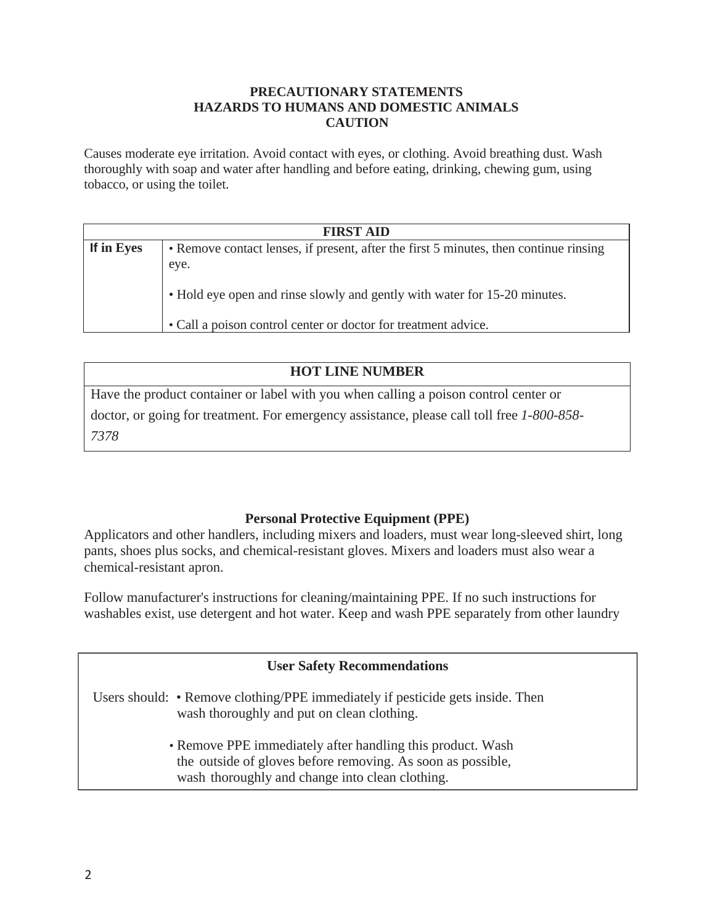#### **PRECAUTIONARY STATEMENTS HAZARDS TO HUMANS AND DOMESTIC ANIMALS CAUTION**

Causes moderate eye irritation. Avoid contact with eyes, or clothing. Avoid breathing dust. Wash thoroughly with soap and water after handling and before eating, drinking, chewing gum, using tobacco, or using the toilet.

| <b>FIRST AID</b> |                                                                                               |  |  |
|------------------|-----------------------------------------------------------------------------------------------|--|--|
| If in Eyes       | • Remove contact lenses, if present, after the first 5 minutes, then continue rinsing<br>eye. |  |  |
|                  | • Hold eye open and rinse slowly and gently with water for 15-20 minutes.                     |  |  |
|                  | • Call a poison control center or doctor for treatment advice.                                |  |  |

| <b>HOT LINE NUMBER</b>                                                                     |
|--------------------------------------------------------------------------------------------|
| Have the product container or label with you when calling a poison control center or       |
| doctor, or going for treatment. For emergency assistance, please call toll free 1-800-858- |
| 7378                                                                                       |

# **Personal Protective Equipment (PPE)**

Applicators and other handlers, including mixers and loaders, must wear long-sleeved shirt, long pants, shoes plus socks, and chemical-resistant gloves. Mixers and loaders must also wear a chemical-resistant apron.

Follow manufacturer's instructions for cleaning/maintaining PPE. If no such instructions for washables exist, use detergent and hot water. Keep and wash PPE separately from other laundry

| <b>User Safety Recommendations</b>                                                                                                                                           |
|------------------------------------------------------------------------------------------------------------------------------------------------------------------------------|
| Users should: • Remove clothing/PPE immediately if pesticide gets inside. Then<br>wash thoroughly and put on clean clothing.                                                 |
| • Remove PPE immediately after handling this product. Wash<br>the outside of gloves before removing. As soon as possible,<br>wash thoroughly and change into clean clothing. |
|                                                                                                                                                                              |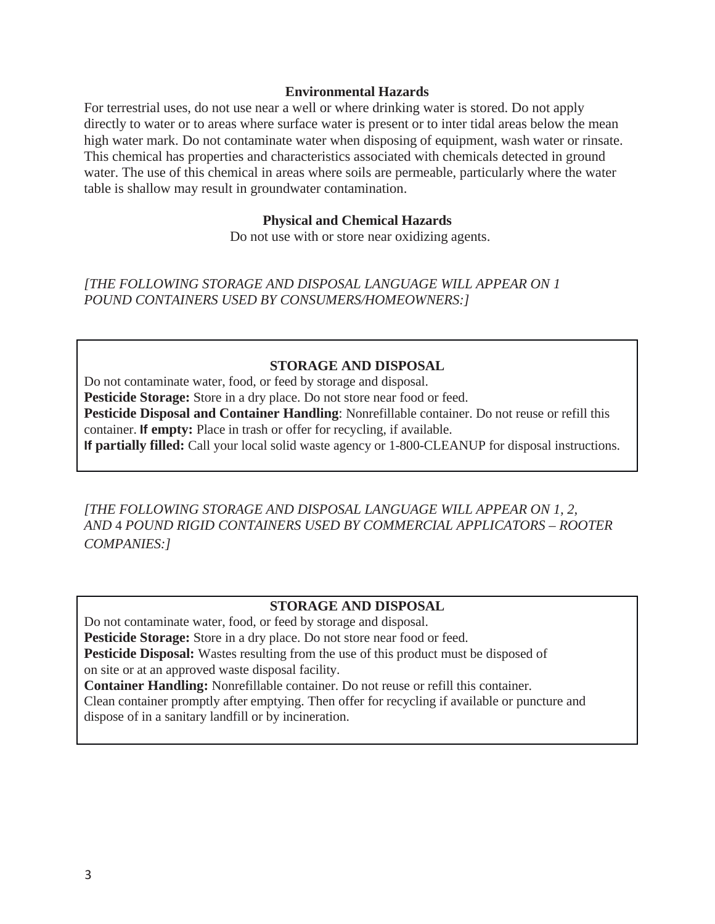#### **Environmental Hazards**

For terrestrial uses, do not use near a well or where drinking water is stored. Do not apply directly to water or to areas where surface water is present or to inter tidal areas below the mean high water mark. Do not contaminate water when disposing of equipment, wash water or rinsate. This chemical has properties and characteristics associated with chemicals detected in ground water. The use of this chemical in areas where soils are permeable, particularly where the water table is shallow may result in groundwater contamination.

#### **Physical and Chemical Hazards**

Do not use with or store near oxidizing agents.

*[THE FOLLOWING STORAGE AND DISPOSAL LANGUAGE WILL APPEAR ON 1 POUND CONTAINERS USED BY CONSUMERS/HOMEOWNERS:]*

#### **STORAGE AND DISPOSAL**

Do not contaminate water, food, or feed by storage and disposal. Pesticide Storage: Store in a dry place. Do not store near food or feed. **Pesticide Disposal and Container Handling**: Nonrefillable container. Do not reuse or refill this container. **If empty:** Place in trash or offer for recycling, if available. **If partially filled:** Call your local solid waste agency or 1-800-CLEANUP for disposal instructions.

*[THE FOLLOWING STORAGE AND DISPOSAL LANGUAGE WILL APPEAR ON 1, 2, AND* 4 *POUND RIGID CONTAINERS USED BY COMMERCIAL APPLICATORS – ROOTER COMPANIES:]*

#### **STORAGE AND DISPOSAL**

Do not contaminate water, food, or feed by storage and disposal. Pesticide Storage: Store in a dry place. Do not store near food or feed. **Pesticide Disposal:** Wastes resulting from the use of this product must be disposed of on site or at an approved waste disposal facility. **Container Handling:** Nonrefillable container. Do not reuse or refill this container. Clean container promptly after emptying. Then offer for recycling if available or puncture and dispose of in a sanitary landfill or by incineration.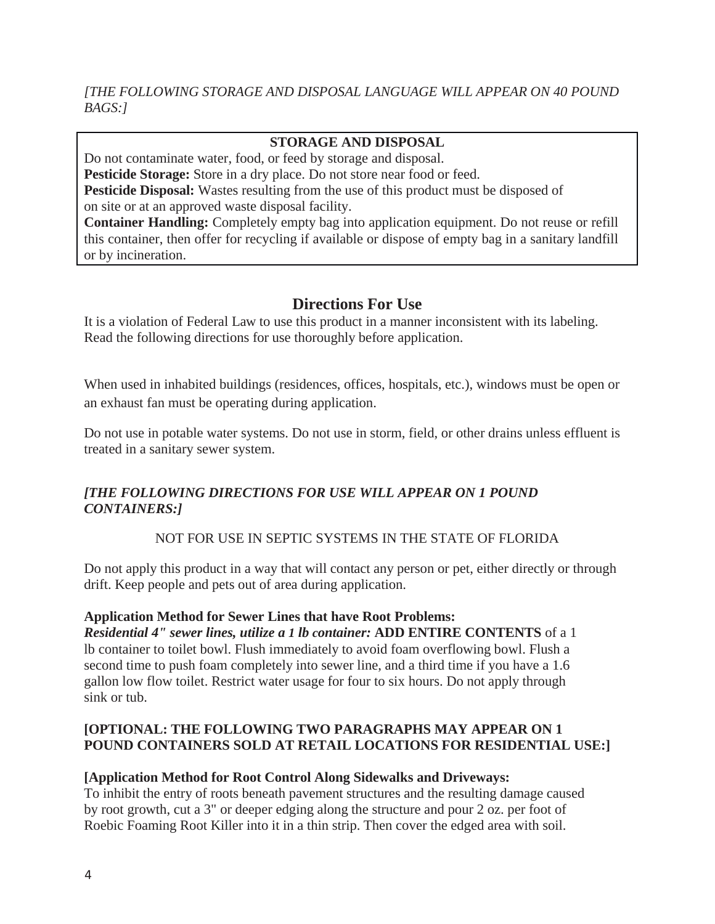# *[THE FOLLOWING STORAGE AND DISPOSAL LANGUAGE WILL APPEAR ON 40 POUND BAGS:]*

# **STORAGE AND DISPOSAL**

Do not contaminate water, food, or feed by storage and disposal.

**Pesticide Storage:** Store in a dry place. Do not store near food or feed.

**Pesticide Disposal:** Wastes resulting from the use of this product must be disposed of on site or at an approved waste disposal facility.

**Container Handling:** Completely empty bag into application equipment. Do not reuse or refill this container, then offer for recycling if available or dispose of empty bag in a sanitary landfill or by incineration.

# **Directions For Use**

It is a violation of Federal Law to use this product in a manner inconsistent with its labeling. Read the following directions for use thoroughly before application.

When used in inhabited buildings (residences, offices, hospitals, etc.), windows must be open or an exhaust fan must be operating during application.

Do not use in potable water systems. Do not use in storm, field, or other drains unless effluent is treated in a sanitary sewer system.

# *[THE FOLLOWING DIRECTIONS FOR USE WILL APPEAR ON 1 POUND CONTAINERS:]*

# NOT FOR USE IN SEPTIC SYSTEMS IN THE STATE OF FLORIDA

Do not apply this product in a way that will contact any person or pet, either directly or through drift. Keep people and pets out of area during application.

#### **Application Method for Sewer Lines that have Root Problems:**

*Residential 4" sewer lines, utilize a 1 lb container:* **ADD ENTIRE CONTENTS** of a 1 lb container to toilet bowl. Flush immediately to avoid foam overflowing bowl. Flush a second time to push foam completely into sewer line, and a third time if you have a 1.6 gallon low flow toilet. Restrict water usage for four to six hours. Do not apply through sink or tub.

#### **[OPTIONAL: THE FOLLOWING TWO PARAGRAPHS MAY APPEAR ON 1 POUND CONTAINERS SOLD AT RETAIL LOCATIONS FOR RESIDENTIAL USE:]**

#### **[Application Method for Root Control Along Sidewalks and Driveways:**

To inhibit the entry of roots beneath pavement structures and the resulting damage caused by root growth, cut a 3" or deeper edging along the structure and pour 2 oz. per foot of Roebic Foaming Root Killer into it in a thin strip. Then cover the edged area with soil.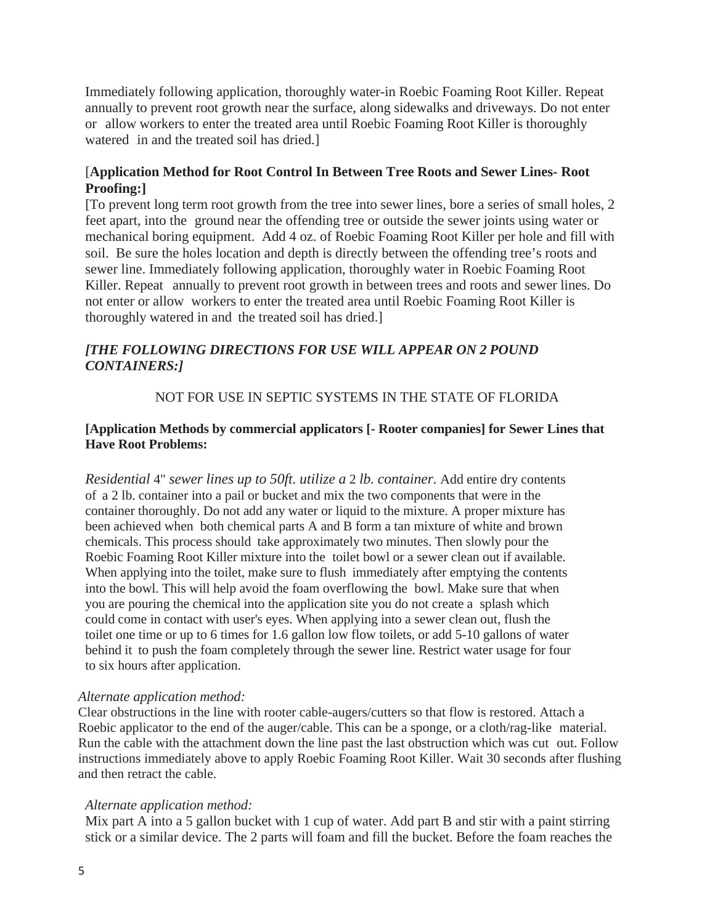Immediately following application, thoroughly water-in Roebic Foaming Root Killer. Repeat annually to prevent root growth near the surface, along sidewalks and driveways. Do not enter or allow workers to enter the treated area until Roebic Foaming Root Killer is thoroughly watered in and the treated soil has dried.]

#### [**Application Method for Root Control In Between Tree Roots and Sewer Lines- Root Proofing:]**

[To prevent long term root growth from the tree into sewer lines, bore a series of small holes, 2 feet apart, into the ground near the offending tree or outside the sewer joints using water or mechanical boring equipment. Add 4 oz. of Roebic Foaming Root Killer per hole and fill with soil. Be sure the holes location and depth is directly between the offending tree's roots and sewer line. Immediately following application, thoroughly water in Roebic Foaming Root Killer. Repeat annually to prevent root growth in between trees and roots and sewer lines. Do not enter or allow workers to enter the treated area until Roebic Foaming Root Killer is thoroughly watered in and the treated soil has dried.]

## *[THE FOLLOWING DIRECTIONS FOR USE WILL APPEAR ON 2 POUND CONTAINERS:]*

#### NOT FOR USE IN SEPTIC SYSTEMS IN THE STATE OF FLORIDA

#### **[Application Methods by commercial applicators [- Rooter companies] for Sewer Lines that Have Root Problems:**

*Residential* 4" *sewer lines up to 50ft. utilize a* 2 *lb. container.* Add entire dry contents of a 2 lb. container into a pail or bucket and mix the two components that were in the container thoroughly. Do not add any water or liquid to the mixture. A proper mixture has been achieved when both chemical parts A and B form a tan mixture of white and brown chemicals. This process should take approximately two minutes. Then slowly pour the Roebic Foaming Root Killer mixture into the toilet bowl or a sewer clean out if available. When applying into the toilet, make sure to flush immediately after emptying the contents into the bowl. This will help avoid the foam overflowing the bowl. Make sure that when you are pouring the chemical into the application site you do not create a splash which could come in contact with user's eyes. When applying into a sewer clean out, flush the toilet one time or up to 6 times for 1.6 gallon low flow toilets*,* or add 5-10 gallons of water behind it to push the foam completely through the sewer line. Restrict water usage for four to six hours after application.

#### *Alternate application method:*

Clear obstructions in the line with rooter cable-augers/cutters so that flow is restored. Attach a Roebic applicator to the end of the auger/cable. This can be a sponge, or a cloth/rag-like material. Run the cable with the attachment down the line past the last obstruction which was cut out. Follow instructions immediately above to apply Roebic Foaming Root Killer. Wait 30 seconds after flushing and then retract the cable.

#### *Alternate application method:*

Mix part A into a 5 gallon bucket with 1 cup of water. Add part B and stir with a paint stirring stick or a similar device. The 2 parts will foam and fill the bucket. Before the foam reaches the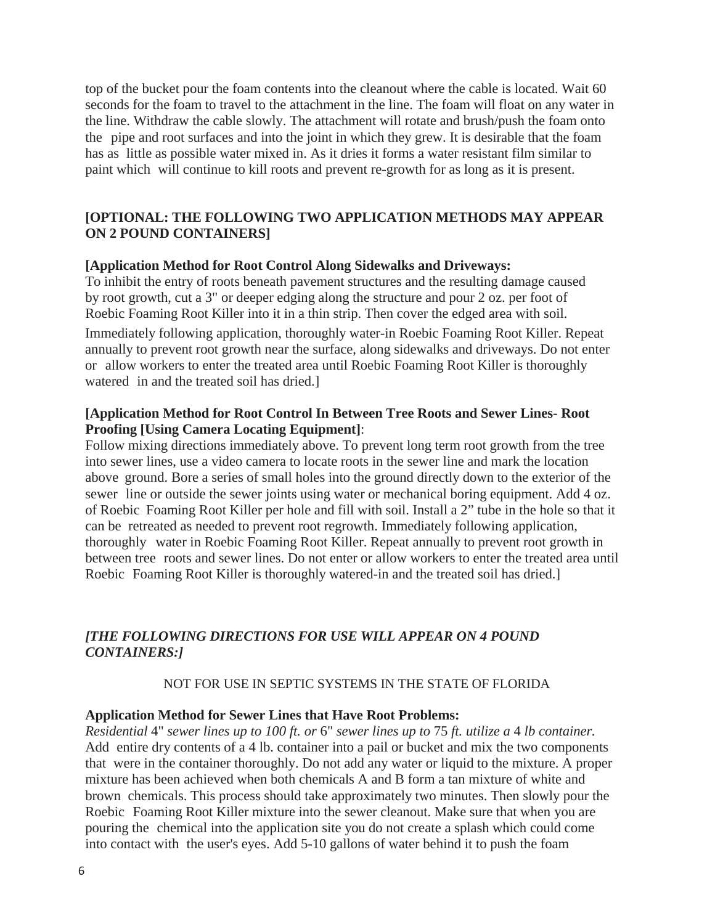top of the bucket pour the foam contents into the cleanout where the cable is located. Wait 60 seconds for the foam to travel to the attachment in the line. The foam will float on any water in the line. Withdraw the cable slowly. The attachment will rotate and brush/push the foam onto the pipe and root surfaces and into the joint in which they grew. It is desirable that the foam has as little as possible water mixed in. As it dries it forms a water resistant film similar to paint which will continue to kill roots and prevent re-growth for as long as it is present.

#### **[OPTIONAL: THE FOLLOWING TWO APPLICATION METHODS MAY APPEAR ON 2 POUND CONTAINERS]**

#### **[Application Method for Root Control Along Sidewalks and Driveways:**

To inhibit the entry of roots beneath pavement structures and the resulting damage caused by root growth, cut a 3" or deeper edging along the structure and pour 2 oz. per foot of Roebic Foaming Root Killer into it in a thin strip. Then cover the edged area with soil. Immediately following application, thoroughly water-in Roebic Foaming Root Killer. Repeat annually to prevent root growth near the surface, along sidewalks and driveways. Do not enter or allow workers to enter the treated area until Roebic Foaming Root Killer is thoroughly watered in and the treated soil has dried.]

#### **[Application Method for Root Control In Between Tree Roots and Sewer Lines- Root Proofing [Using Camera Locating Equipment]**:

Follow mixing directions immediately above. To prevent long term root growth from the tree into sewer lines, use a video camera to locate roots in the sewer line and mark the location above ground. Bore a series of small holes into the ground directly down to the exterior of the sewer line or outside the sewer joints using water or mechanical boring equipment. Add 4 oz. of Roebic Foaming Root Killer per hole and fill with soil. Install a 2" tube in the hole so that it can be retreated as needed to prevent root regrowth. Immediately following application, thoroughly water in Roebic Foaming Root Killer. Repeat annually to prevent root growth in between tree roots and sewer lines. Do not enter or allow workers to enter the treated area until Roebic Foaming Root Killer is thoroughly watered-in and the treated soil has dried.]

#### *[THE FOLLOWING DIRECTIONS FOR USE WILL APPEAR ON 4 POUND CONTAINERS:]*

#### NOT FOR USE IN SEPTIC SYSTEMS IN THE STATE OF FLORIDA

#### **Application Method for Sewer Lines that Have Root Problems:**

*Residential* 4" *sewer lines up to 100 ft. or* 6" *sewer lines up to* 75 *ft. utilize a* 4 *lb container.*  Add entire dry contents of a 4 lb. container into a pail or bucket and mix the two components that were in the container thoroughly. Do not add any water or liquid to the mixture. A proper mixture has been achieved when both chemicals A and B form a tan mixture of white and brown chemicals. This process should take approximately two minutes. Then slowly pour the Roebic Foaming Root Killer mixture into the sewer cleanout. Make sure that when you are pouring the chemical into the application site you do not create a splash which could come into contact with the user's eyes. Add 5-10 gallons of water behind it to push the foam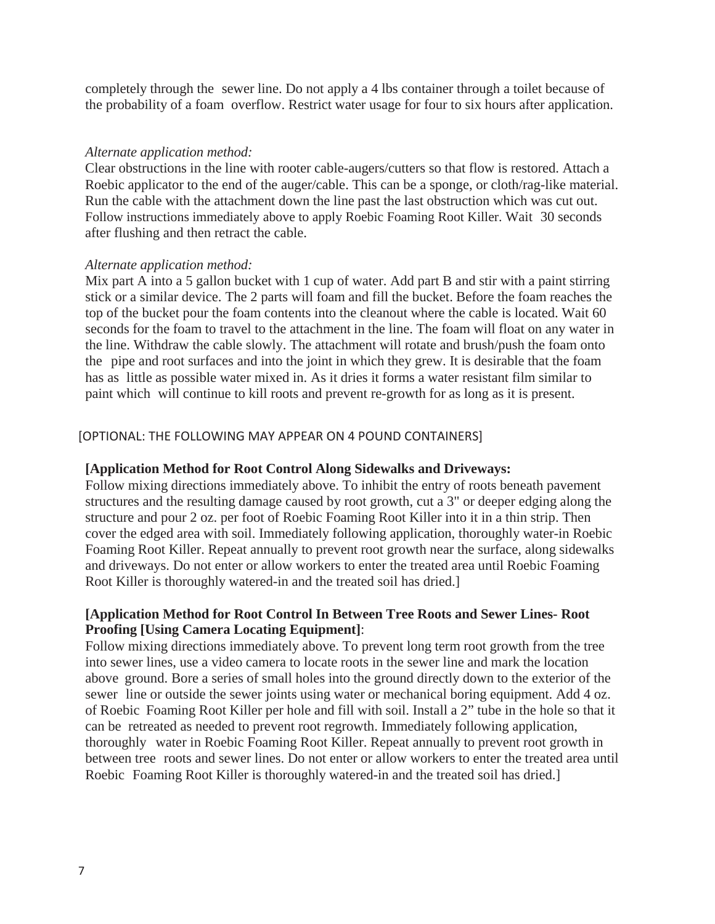completely through the sewer line. Do not apply a 4 lbs container through a toilet because of the probability of a foam overflow. Restrict water usage for four to six hours after application.

#### *Alternate application method:*

Clear obstructions in the line with rooter cable-augers/cutters so that flow is restored. Attach a Roebic applicator to the end of the auger/cable. This can be a sponge, or cloth/rag-like material. Run the cable with the attachment down the line past the last obstruction which was cut out. Follow instructions immediately above to apply Roebic Foaming Root Killer. Wait 30 seconds after flushing and then retract the cable.

#### *Alternate application method:*

Mix part A into a 5 gallon bucket with 1 cup of water. Add part B and stir with a paint stirring stick or a similar device. The 2 parts will foam and fill the bucket. Before the foam reaches the top of the bucket pour the foam contents into the cleanout where the cable is located. Wait 60 seconds for the foam to travel to the attachment in the line. The foam will float on any water in the line. Withdraw the cable slowly. The attachment will rotate and brush/push the foam onto the pipe and root surfaces and into the joint in which they grew. It is desirable that the foam has as little as possible water mixed in. As it dries it forms a water resistant film similar to paint which will continue to kill roots and prevent re-growth for as long as it is present.

#### [OPTIONAL: THE FOLLOWING MAY APPEAR ON 4 POUND CONTAINERS]

#### **[Application Method for Root Control Along Sidewalks and Driveways:**

Follow mixing directions immediately above. To inhibit the entry of roots beneath pavement structures and the resulting damage caused by root growth, cut a 3" or deeper edging along the structure and pour 2 oz. per foot of Roebic Foaming Root Killer into it in a thin strip. Then cover the edged area with soil. Immediately following application, thoroughly water-in Roebic Foaming Root Killer. Repeat annually to prevent root growth near the surface, along sidewalks and driveways. Do not enter or allow workers to enter the treated area until Roebic Foaming Root Killer is thoroughly watered-in and the treated soil has dried.]

#### **[Application Method for Root Control In Between Tree Roots and Sewer Lines- Root Proofing [Using Camera Locating Equipment]**:

Follow mixing directions immediately above. To prevent long term root growth from the tree into sewer lines, use a video camera to locate roots in the sewer line and mark the location above ground. Bore a series of small holes into the ground directly down to the exterior of the sewer line or outside the sewer joints using water or mechanical boring equipment. Add 4 oz. of Roebic Foaming Root Killer per hole and fill with soil. Install a 2" tube in the hole so that it can be retreated as needed to prevent root regrowth. Immediately following application, thoroughly water in Roebic Foaming Root Killer. Repeat annually to prevent root growth in between tree roots and sewer lines. Do not enter or allow workers to enter the treated area until Roebic Foaming Root Killer is thoroughly watered-in and the treated soil has dried.]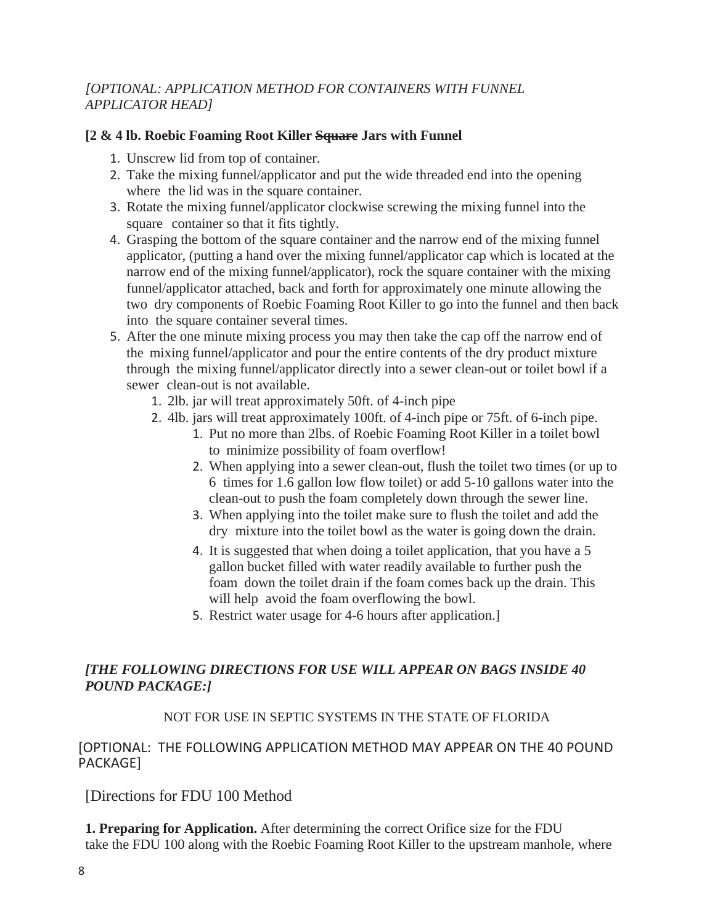# *[OPTIONAL: APPLICATION METHOD FOR CONTAINERS WITH FUNNEL APPLICATOR HEAD]*

#### **[2 & 4 lb. Roebic Foaming Root Killer Square Jars with Funnel**

- 1. Unscrew lid from top of container.
- 2. Take the mixing funnel/applicator and put the wide threaded end into the opening where the lid was in the square container.
- 3. Rotate the mixing funnel/applicator clockwise screwing the mixing funnel into the square container so that it fits tightly.
- 4. Grasping the bottom of the square container and the narrow end of the mixing funnel applicator, (putting a hand over the mixing funnel/applicator cap which is located at the narrow end of the mixing funnel/applicator), rock the square container with the mixing funnel/applicator attached, back and forth for approximately one minute allowing the two dry components of Roebic Foaming Root Killer to go into the funnel and then back into the square container several times.
- 5. After the one minute mixing process you may then take the cap off the narrow end of the mixing funnel/applicator and pour the entire contents of the dry product mixture through the mixing funnel/applicator directly into a sewer clean-out or toilet bowl if a sewer clean-out is not available.
	- 1. 2lb. jar will treat approximately 50ft. of 4-inch pipe
	- 2. 4lb. jars will treat approximately 100ft. of 4-inch pipe or 75ft. of 6-inch pipe.
		- 1. Put no more than 2lbs. of Roebic Foaming Root Killer in a toilet bowl to minimize possibility of foam overflow!
		- 2. When applying into a sewer clean-out, flush the toilet two times (or up to 6 times for 1.6 gallon low flow toilet) or add 5-10 gallons water into the clean-out to push the foam completely down through the sewer line.
		- 3. When applying into the toilet make sure to flush the toilet and add the dry mixture into the toilet bowl as the water is going down the drain.
		- 4. It is suggested that when doing a toilet application, that you have a 5 gallon bucket filled with water readily available to further push the foam down the toilet drain if the foam comes back up the drain. This will help avoid the foam overflowing the bowl.
		- 5. Restrict water usage for 4-6 hours after application.]

# *[THE FOLLOWING DIRECTIONS FOR USE WILL APPEAR ON BAGS INSIDE 40 POUND PACKAGE:]*

#### NOT FOR USE IN SEPTIC SYSTEMS IN THE STATE OF FLORIDA

#### [OPTIONAL: THE FOLLOWING APPLICATION METHOD MAY APPEAR ON THE 40 POUND PACKAGE]

[Directions for FDU 100 Method

**1. Preparing for Application.** After determining the correct Orifice size for the FDU take the FDU 100 along with the Roebic Foaming Root Killer to the upstream manhole, where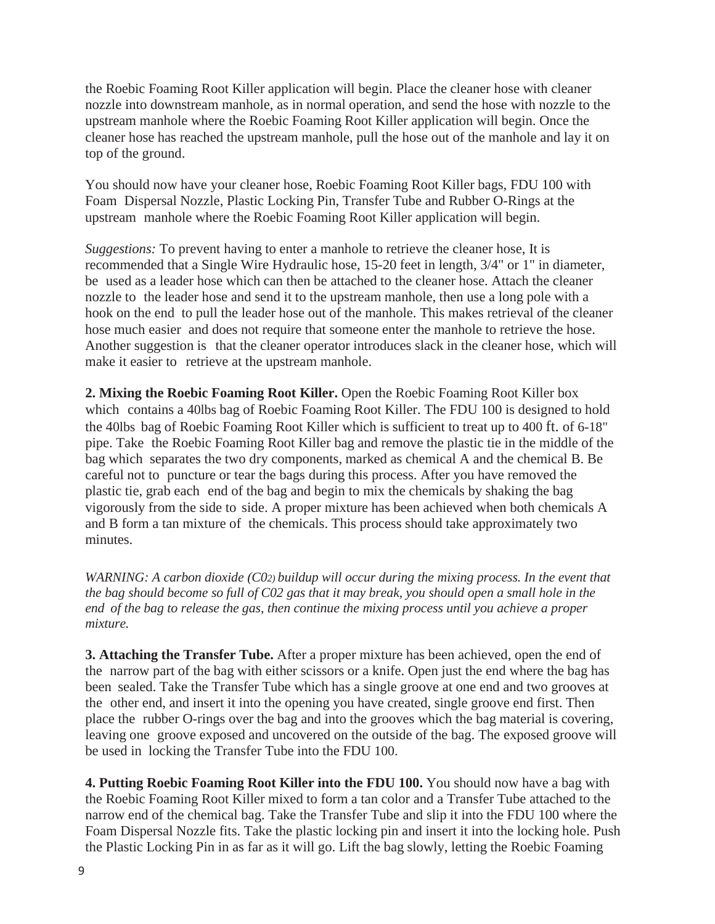the Roebic Foaming Root Killer application will begin. Place the cleaner hose with cleaner nozzle into downstream manhole, as in normal operation, and send the hose with nozzle to the upstream manhole where the Roebic Foaming Root Killer application will begin. Once the cleaner hose has reached the upstream manhole, pull the hose out of the manhole and lay it on top of the ground.

You should now have your cleaner hose, Roebic Foaming Root Killer bags, FDU 100 with Foam Dispersal Nozzle, Plastic Locking Pin, Transfer Tube and Rubber O-Rings at the upstream manhole where the Roebic Foaming Root Killer application will begin.

*Suggestions:* To prevent having to enter a manhole to retrieve the cleaner hose, It is recommended that a Single Wire Hydraulic hose, 15-20 feet in length, 3/4" or 1" in diameter, be used as a leader hose which can then be attached to the cleaner hose. Attach the cleaner nozzle to the leader hose and send it to the upstream manhole, then use a long pole with a hook on the end to pull the leader hose out of the manhole. This makes retrieval of the cleaner hose much easier and does not require that someone enter the manhole to retrieve the hose. Another suggestion is that the cleaner operator introduces slack in the cleaner hose, which will make it easier to retrieve at the upstream manhole.

**2. Mixing the Roebic Foaming Root Killer.** Open the Roebic Foaming Root Killer box which contains a 40lbs bag of Roebic Foaming Root Killer. The FDU 100 is designed to hold the 40lbs bag of Roebic Foaming Root Killer which is sufficient to treat up to 400 ft. of 6-18" pipe. Take the Roebic Foaming Root Killer bag and remove the plastic tie in the middle of the bag which separates the two dry components, marked as chemical A and the chemical B. Be careful not to puncture or tear the bags during this process. After you have removed the plastic tie, grab each end of the bag and begin to mix the chemicals by shaking the bag vigorously from the side to side. A proper mixture has been achieved when both chemicals A and B form a tan mixture of the chemicals. This process should take approximately two minutes.

*WARNING: A carbon dioxide (C02) buildup will occur during the mixing process. In the event that the bag should become so full of C02 gas that it may break, you should open a small hole in the end of the bag to release the gas, then continue the mixing process until you achieve a proper mixture.*

**3. Attaching the Transfer Tube.** After a proper mixture has been achieved, open the end of the narrow part of the bag with either scissors or a knife. Open just the end where the bag has been sealed. Take the Transfer Tube which has a single groove at one end and two grooves at the other end, and insert it into the opening you have created, single groove end first. Then place the rubber O-rings over the bag and into the grooves which the bag material is covering, leaving one groove exposed and uncovered on the outside of the bag. The exposed groove will be used in locking the Transfer Tube into the FDU 100.

**4. Putting Roebic Foaming Root Killer into the FDU 100.** You should now have a bag with the Roebic Foaming Root Killer mixed to form a tan color and a Transfer Tube attached to the narrow end of the chemical bag. Take the Transfer Tube and slip it into the FDU 100 where the Foam Dispersal Nozzle fits. Take the plastic locking pin and insert it into the locking hole. Push the Plastic Locking Pin in as far as it will go. Lift the bag slowly, letting the Roebic Foaming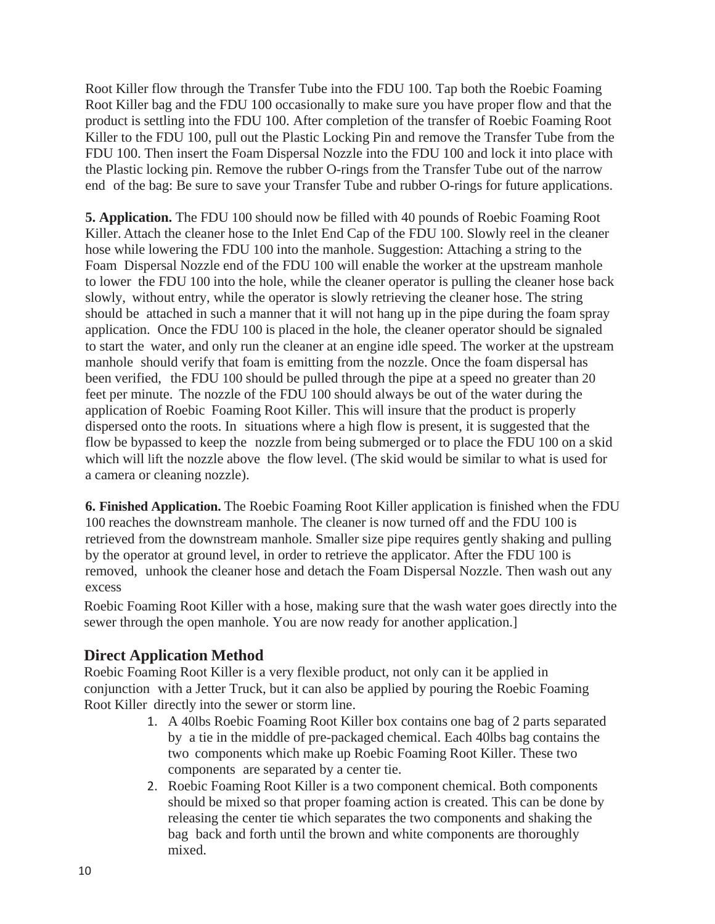Root Killer flow through the Transfer Tube into the FDU 100. Tap both the Roebic Foaming Root Killer bag and the FDU 100 occasionally to make sure you have proper flow and that the product is settling into the FDU 100. After completion of the transfer of Roebic Foaming Root Killer to the FDU 100, pull out the Plastic Locking Pin and remove the Transfer Tube from the FDU 100. Then insert the Foam Dispersal Nozzle into the FDU 100 and lock it into place with the Plastic locking pin. Remove the rubber O-rings from the Transfer Tube out of the narrow end of the bag: Be sure to save your Transfer Tube and rubber O-rings for future applications.

**5. Application.** The FDU 100 should now be filled with 40 pounds of Roebic Foaming Root Killer. Attach the cleaner hose to the Inlet End Cap of the FDU 100. Slowly reel in the cleaner hose while lowering the FDU 100 into the manhole. Suggestion: Attaching a string to the Foam Dispersal Nozzle end of the FDU 100 will enable the worker at the upstream manhole to lower the FDU 100 into the hole, while the cleaner operator is pulling the cleaner hose back slowly, without entry, while the operator is slowly retrieving the cleaner hose. The string should be attached in such a manner that it will not hang up in the pipe during the foam spray application. Once the FDU 100 is placed in the hole, the cleaner operator should be signaled to start the water, and only run the cleaner at an engine idle speed. The worker at the upstream manhole should verify that foam is emitting from the nozzle. Once the foam dispersal has been verified, the FDU 100 should be pulled through the pipe at a speed no greater than 20 feet per minute. The nozzle of the FDU 100 should always be out of the water during the application of Roebic Foaming Root Killer. This will insure that the product is properly dispersed onto the roots. In situations where a high flow is present, it is suggested that the flow be bypassed to keep the nozzle from being submerged or to place the FDU 100 on a skid which will lift the nozzle above the flow level. (The skid would be similar to what is used for a camera or cleaning nozzle).

**6. Finished Application.** The Roebic Foaming Root Killer application is finished when the FDU 100 reaches the downstream manhole. The cleaner is now turned off and the FDU 100 is retrieved from the downstream manhole. Smaller size pipe requires gently shaking and pulling by the operator at ground level, in order to retrieve the applicator. After the FDU 100 is removed, unhook the cleaner hose and detach the Foam Dispersal Nozzle. Then wash out any excess

Roebic Foaming Root Killer with a hose, making sure that the wash water goes directly into the sewer through the open manhole. You are now ready for another application.]

# **Direct Application Method**

Roebic Foaming Root Killer is a very flexible product, not only can it be applied in conjunction with a Jetter Truck, but it can also be applied by pouring the Roebic Foaming Root Killer directly into the sewer or storm line.

- 1. A 40lbs Roebic Foaming Root Killer box contains one bag of 2 parts separated by a tie in the middle of pre-packaged chemical. Each 40lbs bag contains the two components which make up Roebic Foaming Root Killer. These two components are separated by a center tie.
- 2. Roebic Foaming Root Killer is a two component chemical. Both components should be mixed so that proper foaming action is created. This can be done by releasing the center tie which separates the two components and shaking the bag back and forth until the brown and white components are thoroughly mixed.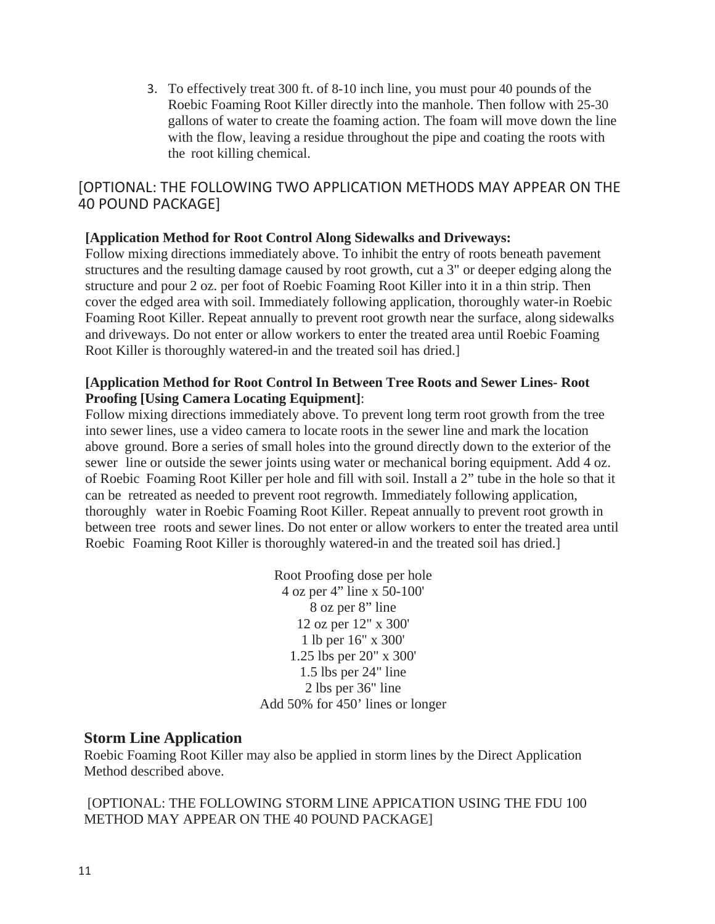3. To effectively treat 300 ft. of 8-10 inch line, you must pour 40 pounds of the Roebic Foaming Root Killer directly into the manhole. Then follow with 25-30 gallons of water to create the foaming action. The foam will move down the line with the flow, leaving a residue throughout the pipe and coating the roots with the root killing chemical.

# [OPTIONAL: THE FOLLOWING TWO APPLICATION METHODS MAY APPEAR ON THE 40 POUND PACKAGE]

# **[Application Method for Root Control Along Sidewalks and Driveways:**

Follow mixing directions immediately above. To inhibit the entry of roots beneath pavement structures and the resulting damage caused by root growth, cut a 3" or deeper edging along the structure and pour 2 oz. per foot of Roebic Foaming Root Killer into it in a thin strip. Then cover the edged area with soil. Immediately following application, thoroughly water-in Roebic Foaming Root Killer. Repeat annually to prevent root growth near the surface, along sidewalks and driveways. Do not enter or allow workers to enter the treated area until Roebic Foaming Root Killer is thoroughly watered-in and the treated soil has dried.]

#### **[Application Method for Root Control In Between Tree Roots and Sewer Lines- Root Proofing [Using Camera Locating Equipment]**:

Follow mixing directions immediately above. To prevent long term root growth from the tree into sewer lines, use a video camera to locate roots in the sewer line and mark the location above ground. Bore a series of small holes into the ground directly down to the exterior of the sewer line or outside the sewer joints using water or mechanical boring equipment. Add 4 oz. of Roebic Foaming Root Killer per hole and fill with soil. Install a 2" tube in the hole so that it can be retreated as needed to prevent root regrowth. Immediately following application, thoroughly water in Roebic Foaming Root Killer. Repeat annually to prevent root growth in between tree roots and sewer lines. Do not enter or allow workers to enter the treated area until Roebic Foaming Root Killer is thoroughly watered-in and the treated soil has dried.]

> Root Proofing dose per hole 4 oz per 4" line x 50-100' 8 oz per 8" line 12 oz per 12" x 300' 1 lb per 16" x 300' 1.25 lbs per 20" x 300' 1.5 lbs per 24" line 2 lbs per 36" line Add 50% for 450' lines or longer

#### **Storm Line Application**

Roebic Foaming Root Killer may also be applied in storm lines by the Direct Application Method described above.

 [OPTIONAL: THE FOLLOWING STORM LINE APPICATION USING THE FDU 100 METHOD MAY APPEAR ON THE 40 POUND PACKAGE]